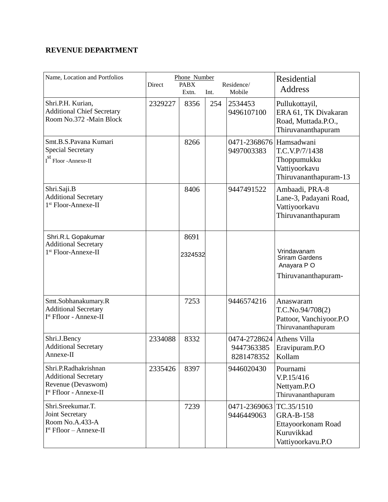## **REVENUE DEPARTMENT**

| Name, Location and Portfolios                                                                       | Direct  | Phone Number<br><b>PABX</b><br>Extn. | Int. | Residence/<br>Mobile                     | Residential<br><b>Address</b>                                                       |
|-----------------------------------------------------------------------------------------------------|---------|--------------------------------------|------|------------------------------------------|-------------------------------------------------------------------------------------|
| Shri.P.H. Kurian,<br><b>Additional Chief Secretary</b><br>Room No.372 -Main Block                   | 2329227 | 8356                                 | 254  | 2534453<br>9496107100                    | Pullukottayil,<br>ERA 61, TK Divakaran<br>Road, Muttada.P.O.,<br>Thiruvananthapuram |
| Smt.B.S.Pavana Kumari<br><b>Special Secretary</b><br>$\textbf{I}^\text{st}$ Floor -Annexe-II        |         | 8266                                 |      | 0471-2368676 Hamsadwani<br>9497003383    | T.C.V.P/7/1438<br>Thoppumukku<br>Vattiyoorkavu<br>Thiruvananthapuram-13             |
| Shri.Saji.B<br><b>Additional Secretary</b><br>1 <sup>st</sup> Floor-Annexe-II                       |         | 8406                                 |      | 9447491522                               | Ambaadi, PRA-8<br>Lane-3, Padayani Road,<br>Vattiyoorkavu<br>Thiruvananthapuram     |
| Shri.R.L Gopakumar<br><b>Additional Secretary</b><br>1 <sup>st</sup> Floor-Annexe-II                |         | 8691<br>2324532                      |      |                                          | Vrindavanam<br><b>Sriram Gardens</b><br>Anayara PO<br>Thiruvananthapuram-           |
| Smt.Sobhanakumary.R<br><b>Additional Secretary</b><br>I <sup>st</sup> Ffloor - Annexe-II            |         | 7253                                 |      | 9446574216                               | Anaswaram<br>T.C.No.94/708(2)<br>Pattoor, Vanchiyoor.P.O<br>Thiruvananthapuram      |
| Shri.J.Bency<br><b>Additional Secretary</b><br>Annexe-II                                            | 2334088 | 8332                                 |      | 0474-2728624<br>9447363385<br>8281478352 | Athens Villa<br>Eravipuram.P.O<br>Kollam                                            |
| Shri.P.Radhakrishnan<br><b>Additional Secretary</b><br>Revenue (Devaswom)<br>Ist Ffloor - Annexe-II | 2335426 | 8397                                 |      | 9446020430                               | Pournami<br>V.P.15/416<br>Nettyam.P.O<br>Thiruvananthapuram                         |
| Shri.Sreekumar.T.<br>Joint Secretary<br>Room No.A.433-A<br>$Ist Ffloor - Annexe-II$                 |         | 7239                                 |      | 0471-2369063 TC.35/1510<br>9446449063    | <b>GRA-B-158</b><br>Ettayoorkonam Road<br>Kuruvikkad<br>Vattiyoorkavu.P.O           |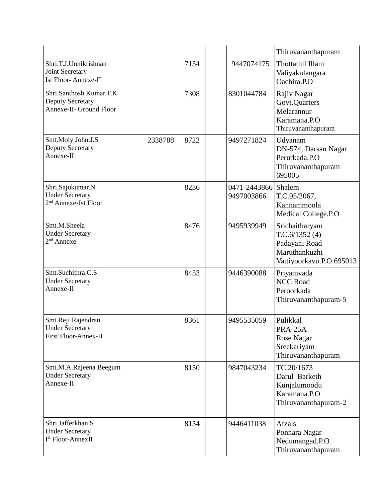|                                                                                |         |      |                                   | Thiruvananthapuram                                                                            |
|--------------------------------------------------------------------------------|---------|------|-----------------------------------|-----------------------------------------------------------------------------------------------|
| Shri.T.J.Unnikrishnan<br>Joint Secretary<br><b>Ist Floor-Annexe-II</b>         |         | 7154 | 9447074175                        | Thottathil Illam<br>Valiyakulangara<br>Oachira.P.O                                            |
| Shri.Santhosh Kumar.T.K<br><b>Deputy Secretary</b><br>Annexe-II- Ground Floor  |         | 7308 | 8301044784                        | Rajiv Nagar<br>Govt.Quarters<br>Melarannur<br>Karamana.P.O<br>Thiruvananthapuram              |
| Smt.Moly John.J.S<br><b>Deputy Secretary</b><br>Annexe-II                      | 2338788 | 8722 | 9497271824                        | Udyanam<br>DN-574, Darsan Nagar<br>Perurkada.P.O<br>Thiruvananthapuram<br>695005              |
| Shri.Sajukumar.N<br><b>Under Secretary</b><br>2 <sup>nd</sup> Annexe-Ist Floor |         | 8236 | 0471-2443866 Shalem<br>9497003866 | T.C.95/2067,<br>Kannammoola<br>Medical College.P.O                                            |
| Smt.M.Sheela<br><b>Under Secretary</b><br>$2nd$ Annexe                         |         | 8476 | 9495939949                        | Srichaitharyam<br>T.C.6/1352(4)<br>Padayani Road<br>Maruthankuzhi<br>Vattiyoorkavu.P.O.695013 |
| Smt.Suchithra.C.S<br><b>Under Secretary</b><br>Annexe-II                       |         | 8453 | 9446390088                        | Priyamvada<br><b>NCC Road</b><br>Peroorkada<br>Thiruvananthapuram-5                           |
| Smt.Reji Rajendran<br><b>Under Secretary</b><br><b>First Floor-Annex-II</b>    |         | 8361 | 9495535059                        | Pulikkal<br>PRA-25A<br>Rose Nagar<br>Sreekariyam<br>Thiruvananthapuram                        |
| Smt.M.A.Rajeena Beegum<br><b>Under Secretary</b><br>Annexe-II                  |         | 8150 | 9847043234                        | TC.20/1673<br>Darul Barketh<br>Kunjalumoodu<br>Karamana.P.O<br>Thiruvananthapuram-2           |
| Shri.Jafferkhan.S<br><b>Under Secretary</b><br>I <sup>st</sup> Floor-AnnexII   |         | 8154 | 9446411038                        | Afzals<br>Ponnara Nagar<br>Nedumangad.P.O<br>Thiruvananthapuram                               |